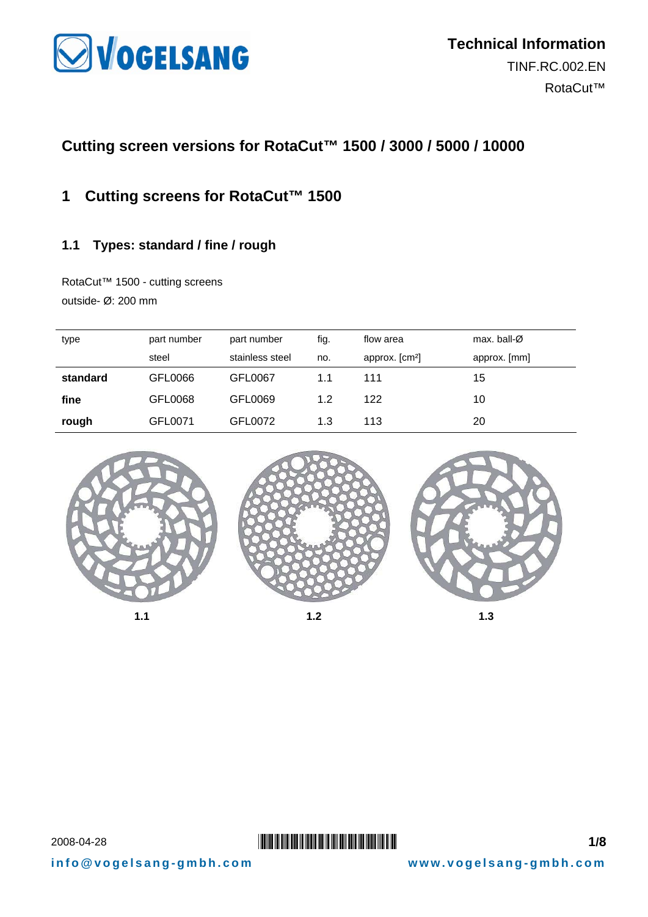

# **Cutting screen versions for RotaCut™ 1500 / 3000 / 5000 / 10000**

### **1 Cutting screens for RotaCut™ 1500**

#### **1.1 Types: standard / fine / rough**

RotaCut™ 1500 - cutting screens outside- Ø: 200 mm

| type     | part number | part number     | fig. | flow area                  | max. ball- $\varnothing$ |
|----------|-------------|-----------------|------|----------------------------|--------------------------|
|          | steel       | stainless steel | no.  | approx. [cm <sup>2</sup> ] | approx. [mm]             |
| standard | GFL0066     | GFL0067         | 1.1  | 111                        | 15                       |
| fine     | GFL0068     | GFL0069         | 1.2  | 122                        | 10                       |
| rough    | GFL0071     | GFL0072         | 1.3  | 113                        | 20                       |
|          |             |                 |      |                            |                          |







### **2008-04-28 \*TINFERENT EXAMPLE 2008-04-28** \*THE SERIES AND **THE SERIES AND EXAMPLE THE SERIES AND EXAMPLE THE SERIES AND THE SERIES AND THE SERIES AND THE SERIES AND THE SERIES AND THE SERIES AND THE SERIES AND THE SERIES**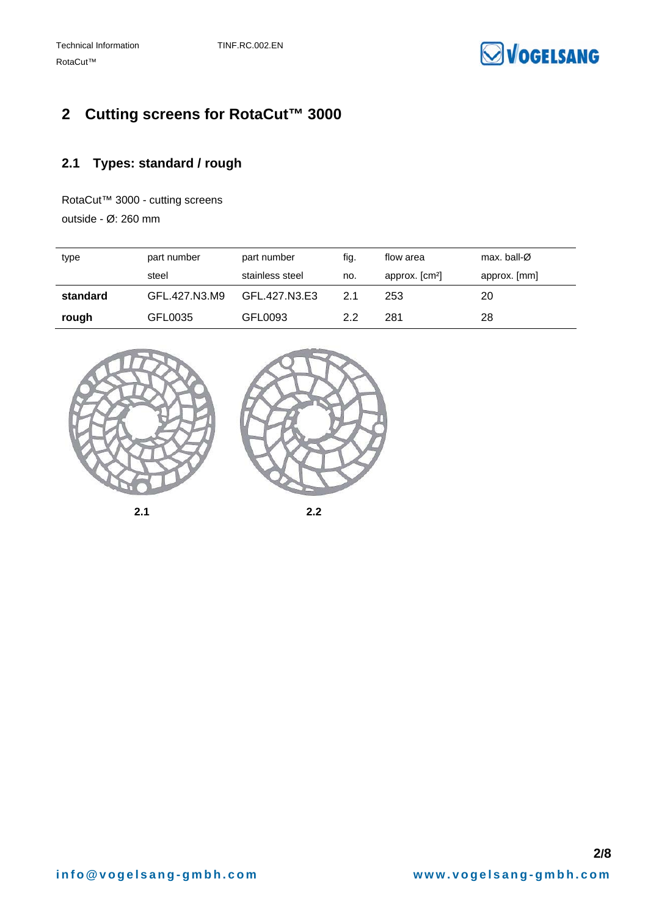

# **2 Cutting screens for RotaCut™ 3000**

### **2.1 Types: standard / rough**

RotaCut™ 3000 - cutting screens

outside - Ø: 260 mm

| type     | part number   | part number     | fig. | flow area                  | max. ball- $\varnothing$ |
|----------|---------------|-----------------|------|----------------------------|--------------------------|
|          | steel         | stainless steel | no.  | approx. [cm <sup>2</sup> ] | approx. [mm]             |
| standard | GFL.427.N3.M9 | GFL.427.N3.E3   | 21   | 253                        | 20                       |
| rough    | GFL0035       | GFL0093         | 2.2  | 281                        | 28                       |







**2.1 2.2**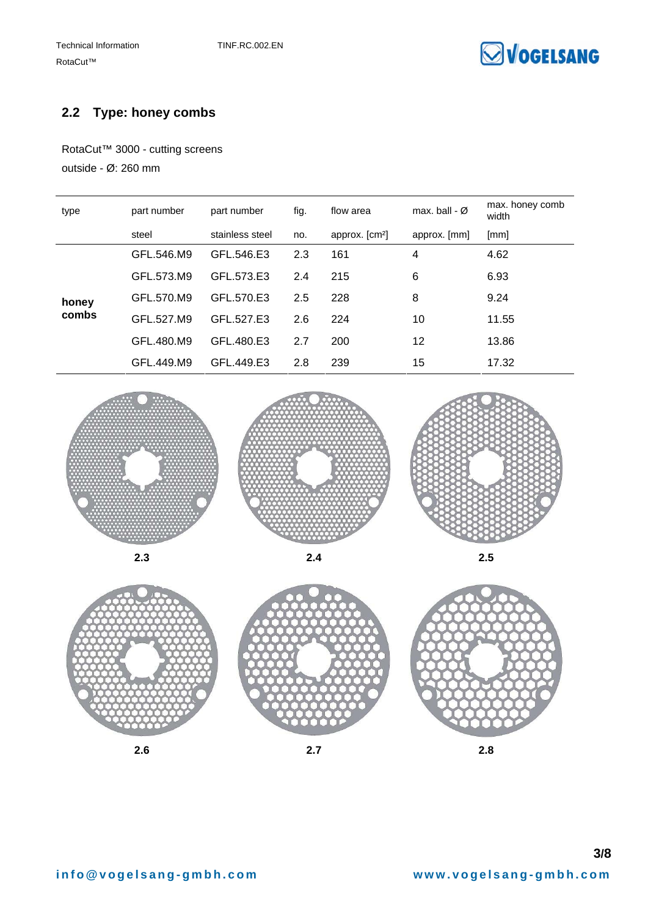

#### **2.2 Type: honey combs**

RotaCut™ 3000 - cutting screens outside - Ø: 260 mm

| type  | part number | part number     | fig. | flow area                  | max, ball - $\varnothing$ | max. honey comb<br>width |
|-------|-------------|-----------------|------|----------------------------|---------------------------|--------------------------|
|       | steel       | stainless steel | no.  | approx. [cm <sup>2</sup> ] | approx. [mm]              | [mm]                     |
| honey | GFL.546.M9  | GFL.546.E3      | 2.3  | 161                        | 4                         | 4.62                     |
|       | GFL.573.M9  | GFL 573.E3      | 2.4  | 215                        | 6                         | 6.93                     |
|       | GFL.570.M9  | GFL 570.E3      | 2.5  | 228                        | 8                         | 9.24                     |
| combs | GFL.527.M9  | GFL.527.E3      | 2.6  | 224                        | 10                        | 11.55                    |
|       | GFL.480.M9  | GFL.480.E3      | 2.7  | 200                        | 12                        | 13.86                    |
|       | GFL.449.M9  | GFL.449.E3      | 2.8  | 239                        | 15                        | 17.32                    |









**2.6 2.7 2.8**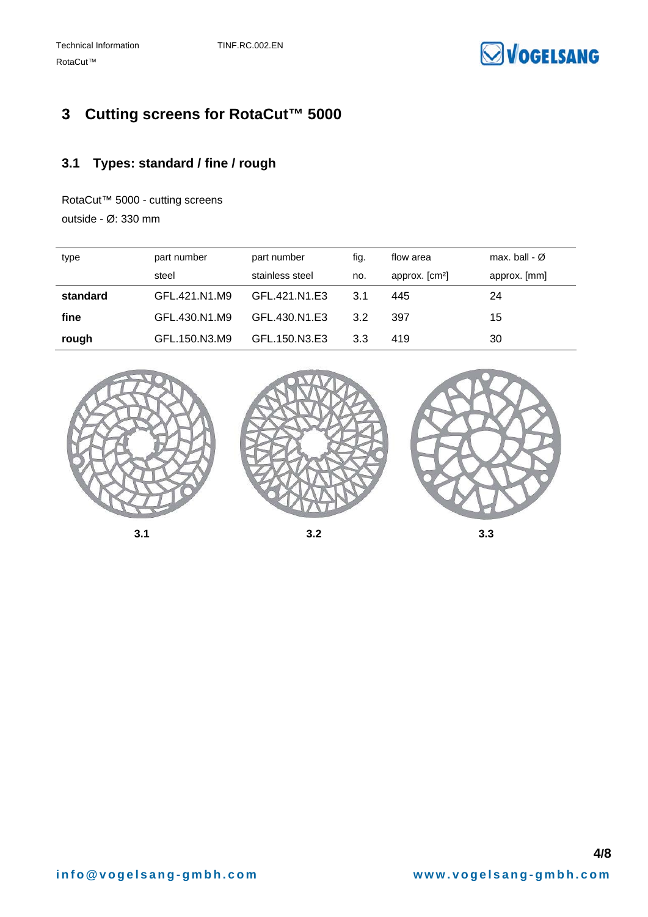

# **3 Cutting screens for RotaCut™ 5000**

### **3.1 Types: standard / fine / rough**

RotaCut™ 5000 - cutting screens outside - Ø: 330 mm

| type     | part number   | part number     | fig. | flow area                  | max. ball - $\varnothing$ |
|----------|---------------|-----------------|------|----------------------------|---------------------------|
|          | steel         | stainless steel | no.  | approx. [cm <sup>2</sup> ] | approx. [mm]              |
| standard | GFL.421.N1.M9 | GFL 421 N1 E3   | 3.1  | 445                        | 24                        |
| fine     | GFL.430.N1.M9 | GFL.430.N1.E3   | 3.2  | 397                        | 15                        |
| rough    | GFL.150.N3.M9 | GFL.150.N3.E3   | 3.3  | 419                        | 30                        |

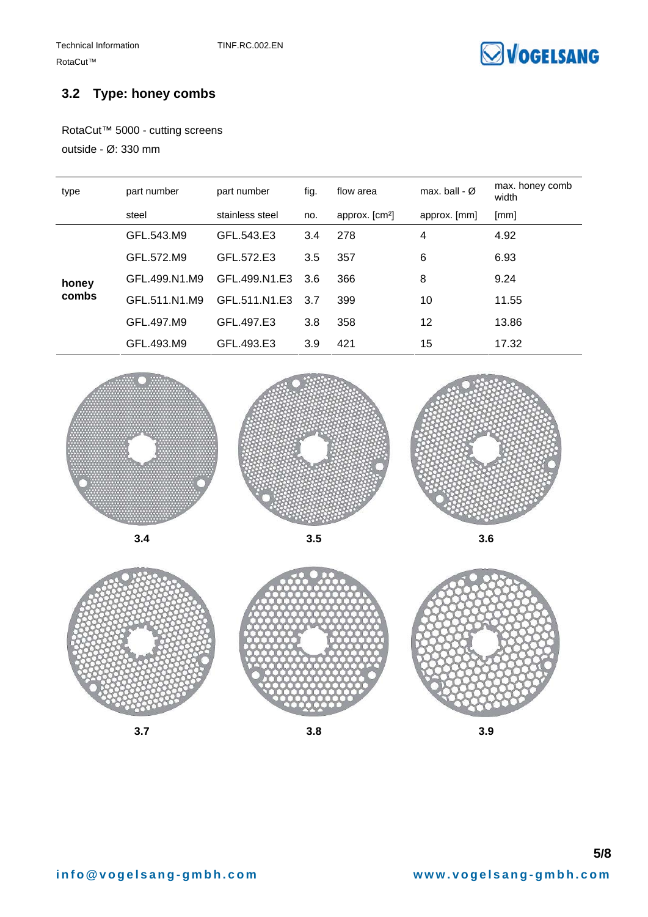

#### **3.2 Type: honey combs**

RotaCut™ 5000 - cutting screens

outside - Ø: 330 mm

| type  | part number   | part number     | fig. | flow area                  | max. ball - $\varnothing$ | max. honey comb<br>width |
|-------|---------------|-----------------|------|----------------------------|---------------------------|--------------------------|
|       | steel         | stainless steel | no.  | approx. [cm <sup>2</sup> ] | approx. [mm]              | [mm]                     |
|       | GFL.543.M9    | GFL.543.E3      | 3.4  | 278                        | 4                         | 4.92                     |
| honey | GFL.572.M9    | GFL 572 E3      | 3.5  | 357                        | 6                         | 6.93                     |
|       | GFL.499.N1.M9 | GFL.499.N1.E3   | 3.6  | 366                        | 8                         | 9.24                     |
| combs | GFL.511.N1.M9 | GFL 511 N1 E3   | 3.7  | 399                        | 10                        | 11.55                    |
|       | GFL.497.M9    | GFL.497.E3      | 3.8  | 358                        | 12                        | 13.86                    |
|       | GFL.493.M9    | GFL.493.E3      | 3.9  | 421                        | 15                        | 17.32                    |







**3.7 3.8 3.9**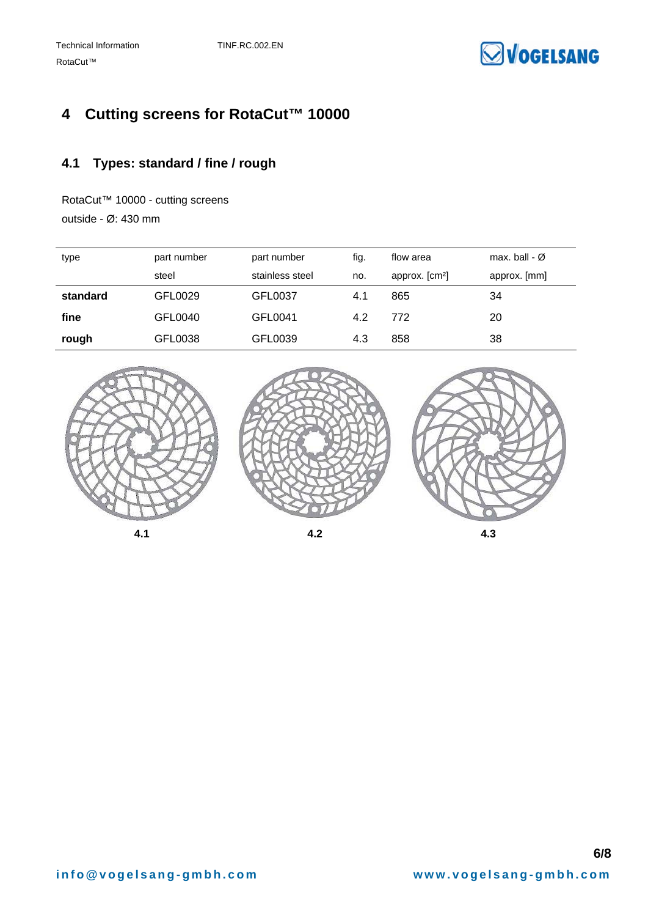

# **4 Cutting screens for RotaCut™ 10000**

### **4.1 Types: standard / fine / rough**

RotaCut™ 10000 - cutting screens

outside - Ø: 430 mm

| type     | part number | part number     | fig. | flow area                  | max, ball - $\varnothing$ |
|----------|-------------|-----------------|------|----------------------------|---------------------------|
|          | steel       | stainless steel | no.  | approx. [cm <sup>2</sup> ] | approx. [mm]              |
| standard | GFL0029     | GFL0037         | 4.1  | 865                        | 34                        |
| fine     | GFL0040     | GFL0041         | 4.2  | 772                        | 20                        |
| rough    | GFL0038     | GFL0039         | 4.3  | 858                        | 38                        |

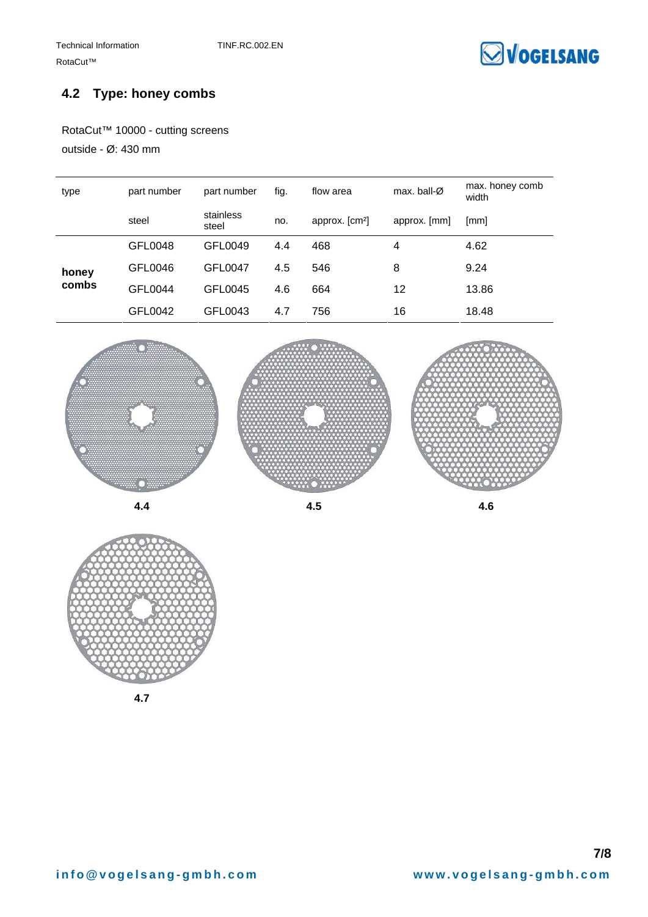

#### **4.2 Type: honey combs**

RotaCut™ 10000 - cutting screens

outside - Ø: 430 mm

| type           | part number | part number        | fig. | flow area                  | max. ball- $\varnothing$ | max. honey comb<br>width |
|----------------|-------------|--------------------|------|----------------------------|--------------------------|--------------------------|
|                | steel       | stainless<br>steel | no.  | approx. [cm <sup>2</sup> ] | approx. [mm]             | [mm]                     |
|                | GFL0048     | GFL0049            | 4.4  | 468                        | 4                        | 4.62                     |
| honey<br>combs | GFL0046     | <b>GFL0047</b>     | 4.5  | 546                        | 8                        | 9.24                     |
|                | GFL0044     | GFL0045            | 4.6  | 664                        | 12                       | 13.86                    |
|                | GFL0042     | GFL0043            | 4.7  | 756                        | 16                       | 18.48                    |





**4.7**